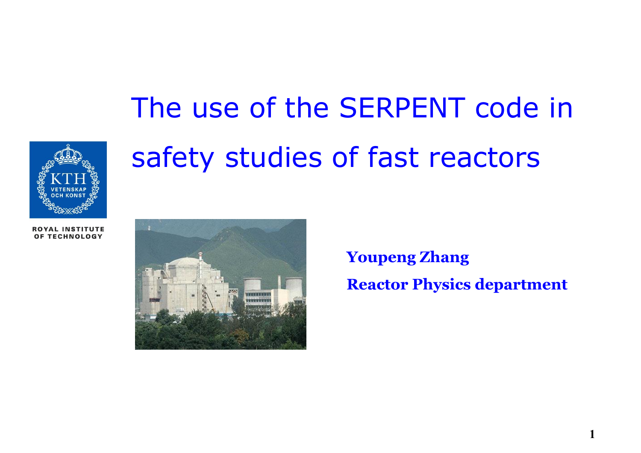

# The use of the SERPENT code in safety studies of fast reactors

**ROYAL INSTITUTE** OF TECHNOLOGY



**Youpeng Zhang Reactor Physics department**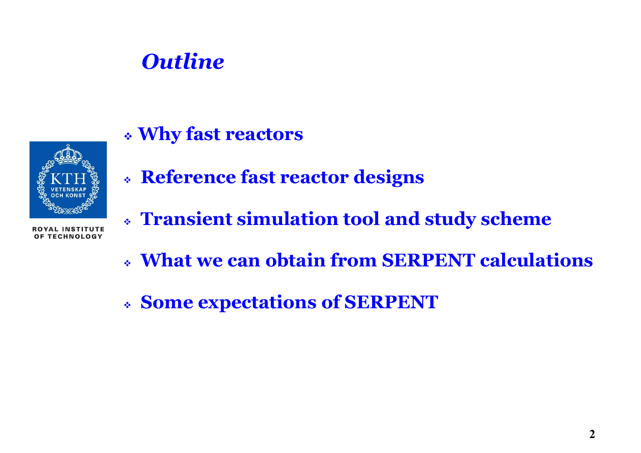### *Outline*

**Why fast reactors**



- **Reference fast reactor designs**
- **Transient simulation tool and study scheme**
- **What we can obtain from SERPENT calculations**
- **Some expectations of SERPENT**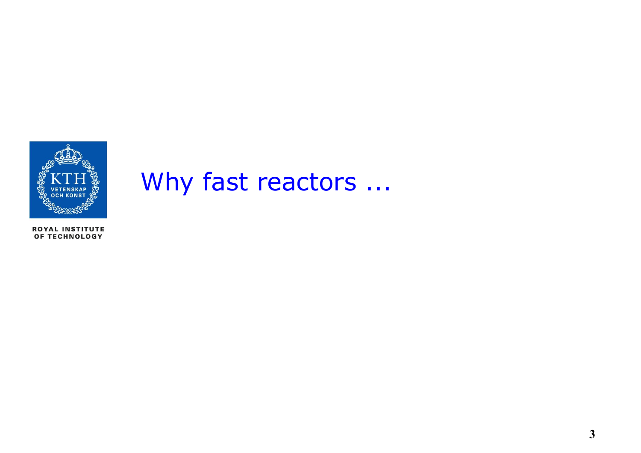

## Why fast reactors ...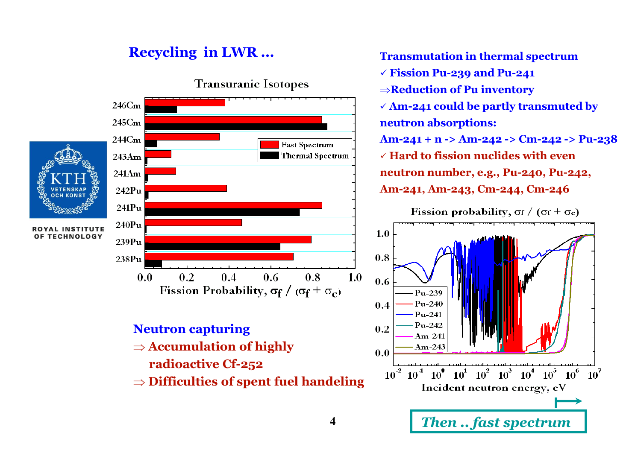#### **Recycling in LWR ... Transmutation in thermal spectrum**



 **Fission Pu-239 and Pu-241 ⇒Reduction of Pu inventory Am-241 could be partly transmuted by neutron absorptions: Am-241 + n -> Am-242 -> Cm-242 -> Pu-238 Hard to fission nuclides with even neutron number, e.g., Pu-240, Pu-242, Am-241, Am-243, Cm-244, Cm-246**

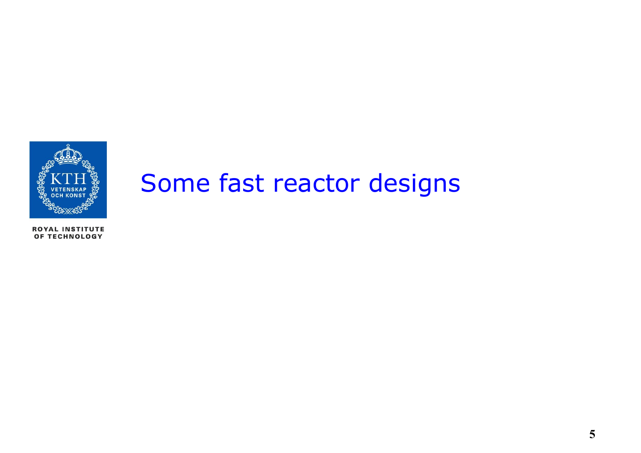

### Some fast reactor designs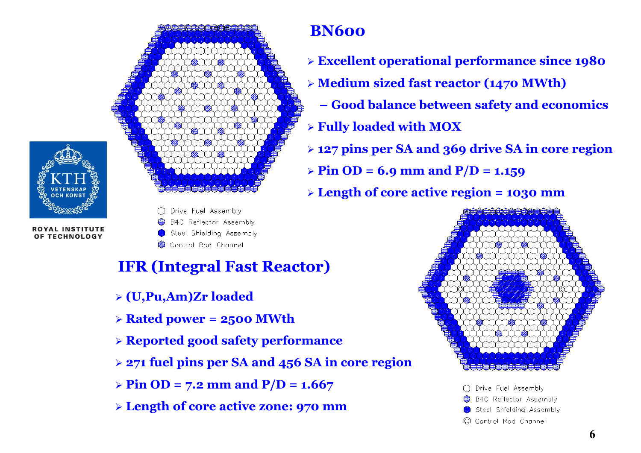



◯ Drive Fuel Assembly e B4C Reflector Assembly Steel Shielding Assembly

Control Rod Channel

### **IFR (Integral Fast Reactor)**

- **(U,Pu,Am)Zr loaded**
- $\triangleright$  **Rated power = 2500 MWth**
- **Reported good safety performance**
- **271 fuel pins per SA and 456 SA in core region**
- $\triangleright$  Pin OD = 7.2 mm and P/D = 1.667
- **Length of core active zone: 970 mm**

### **BN600**

- **Excellent operational performance since 1980**
- **Medium sized fast reactor (1470 MWth)**
	- **– Good balance between safety and economics**
- **Fully loaded with MOX**
- **127 pins per SA and 369 drive SA in core region**
- $\triangleright$  Pin OD = 6.9 mm and P/D = 1.159
- **Length of core active region = 1030 mm**



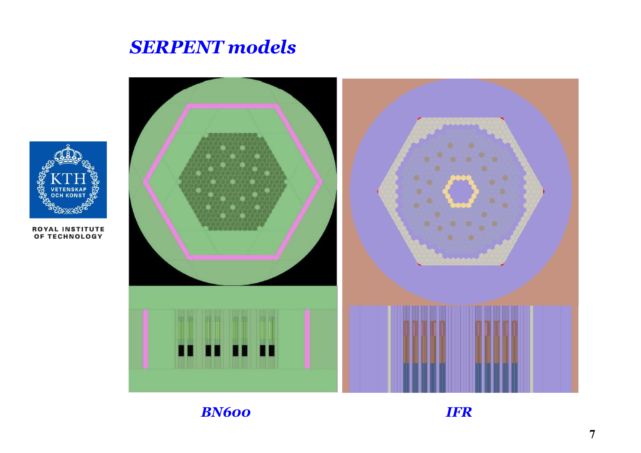### *SERPENT models*



**ROYAL INSTITUTE<br>OF TECHNOLOGY** 



*BN600*

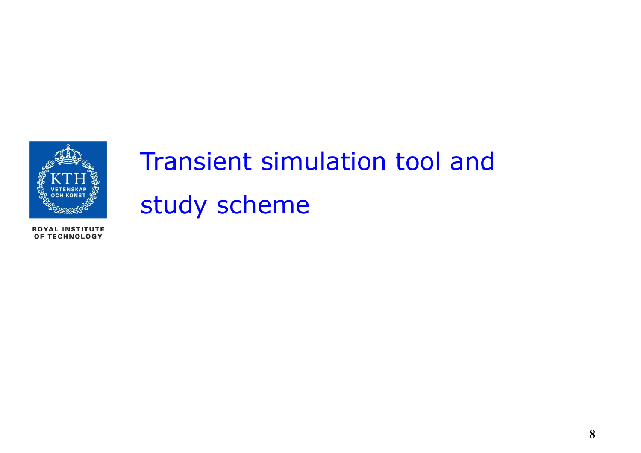

## Transient simulation tool and study scheme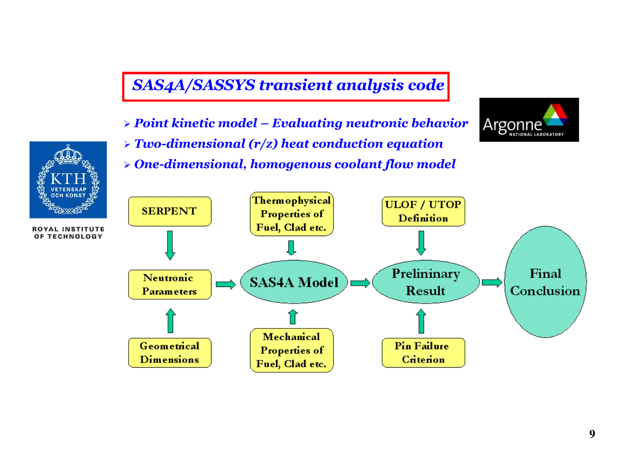#### *SAS4A/SASSYS transient analysis code*

- *Point kinetic model – Evaluating neutronic behavior*
- *Two-dimensional (r/z) heat conduction equation*
- *One-dimensional, homogenous coolant flow model*





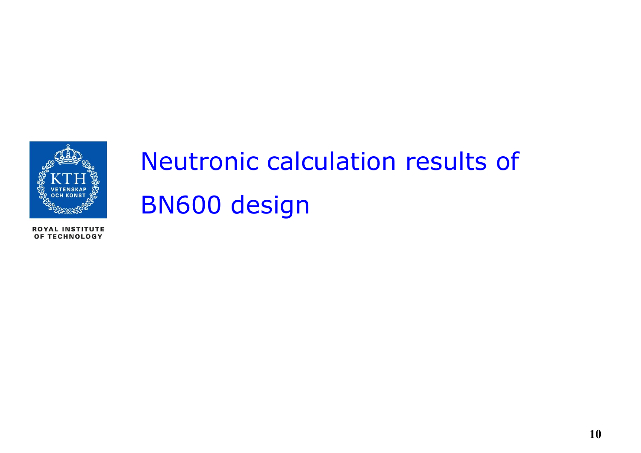

## Neutronic calculation results of BN600 design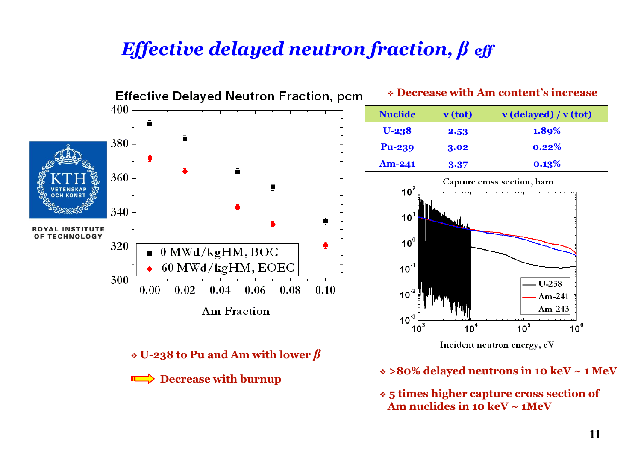### *Effective delayed neutron fraction, β eff*

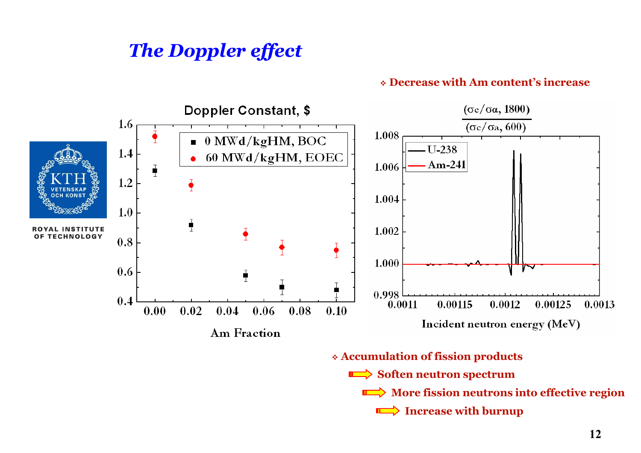### *The Doppler effect*

#### **Decrease with Am content's increase**

**More fission neutrons into effective region** 

**Increase with burnup**

 $\Box$ 



**12**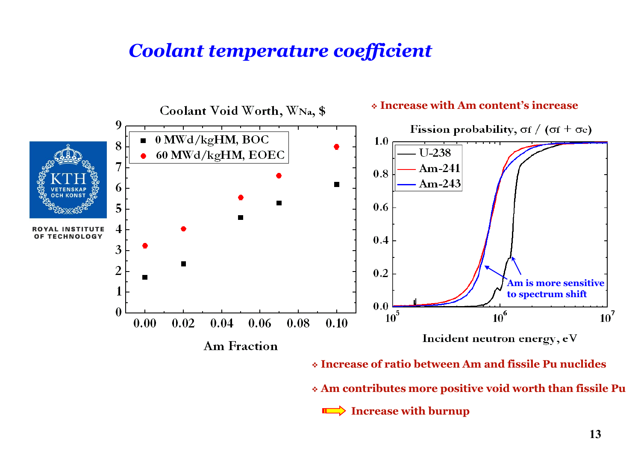### *Coolant temperature coefficient*



**Increase with burnup**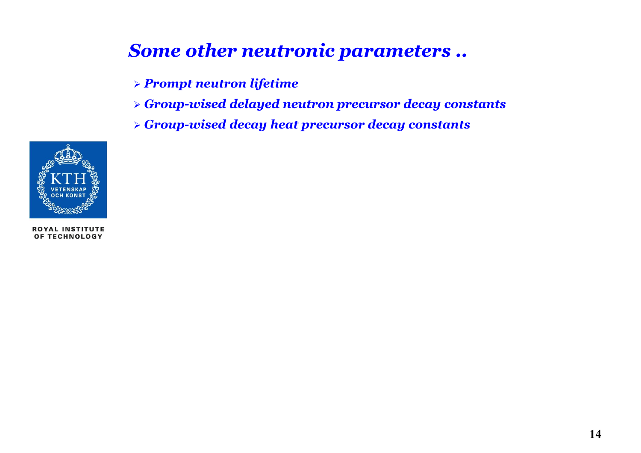### *Some other neutronic parameters ..*

- *Prompt neutron lifetime*
- *Group-wised delayed neutron precursor decay constants*
- *Group-wised decay heat precursor decay constants*

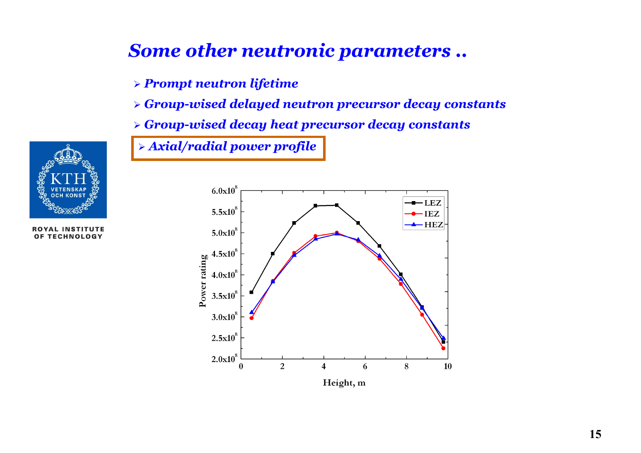### *Some other neutronic parameters ..*

*Prompt neutron lifetime*

*Group-wised delayed neutron precursor decay constants*

*Group-wised decay heat precursor decay constants*

*Axial/radial power profile*



**ROYAL INSTITUTE** OF TECHNOLOGY

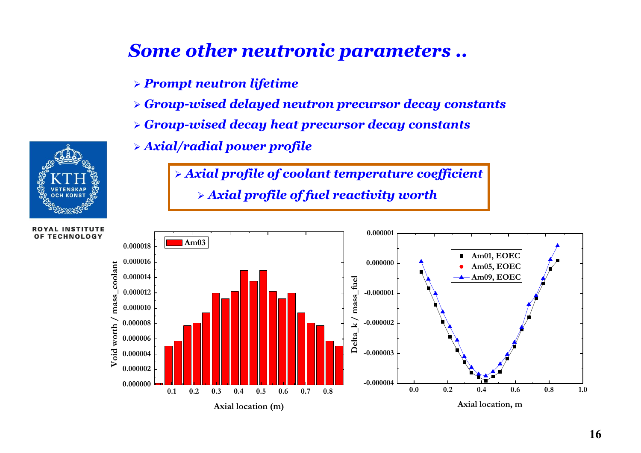### *Some other neutronic parameters ..*

- *Prompt neutron lifetime*
- *Group-wised delayed neutron precursor decay constants*
- *Group-wised decay heat precursor decay constants*
- *Axial/radial power profile*

 *Axial profile of coolant temperature coefficient Axial profile of fuel reactivity worth*



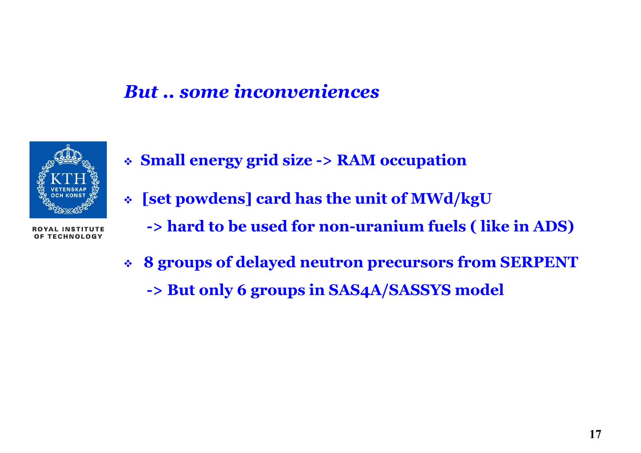### *But .. some inconveniences*



- **Small energy grid size -> RAM occupation**
- **[set powdens] card has the unit of MWd/kgU**
	- **-> hard to be used for non-uranium fuels ( like in ADS)**
- **8 groups of delayed neutron precursors from SERPENT**
	- **-> But only 6 groups in SAS4A/SASSYS model**